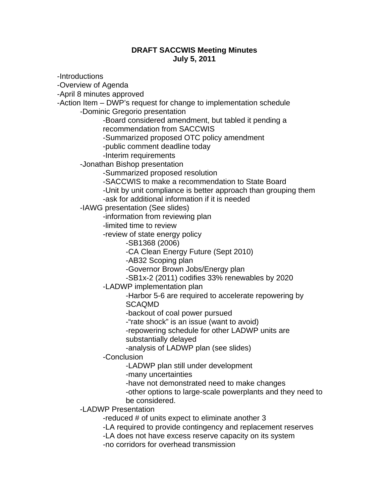## **DRAFT SACCWIS Meeting Minutes July 5, 2011**

-Introductions -Overview of Agenda -April 8 minutes approved -Action Item – DWP's request for change to implementation schedule -Dominic Gregorio presentation -Board considered amendment, but tabled it pending a recommendation from SACCWIS -Summarized proposed OTC policy amendment -public comment deadline today -Interim requirements -Jonathan Bishop presentation -Summarized proposed resolution -SACCWIS to make a recommendation to State Board -Unit by unit compliance is better approach than grouping them -ask for additional information if it is needed -IAWG presentation (See slides) -information from reviewing plan -limited time to review -review of state energy policy -SB1368 (2006) -CA Clean Energy Future (Sept 2010) -AB32 Scoping plan -Governor Brown Jobs/Energy plan -SB1x-2 (2011) codifies 33% renewables by 2020 -LADWP implementation plan -Harbor 5-6 are required to accelerate repowering by **SCAQMD** -backout of coal power pursued -"rate shock" is an issue (want to avoid) -repowering schedule for other LADWP units are substantially delayed -analysis of LADWP plan (see slides) -Conclusion -LADWP plan still under development -many uncertainties -have not demonstrated need to make changes -other options to large-scale powerplants and they need to be considered. -LADWP Presentation -reduced # of units expect to eliminate another 3 -LA required to provide contingency and replacement reserves -LA does not have excess reserve capacity on its system

-no corridors for overhead transmission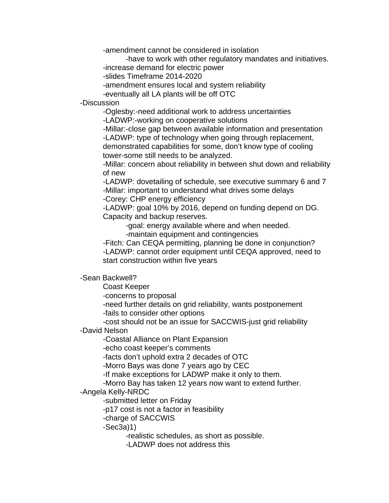-amendment cannot be considered in isolation

-have to work with other regulatory mandates and initiatives.

-increase demand for electric power

-slides Timeframe 2014-2020

-amendment ensures local and system reliability

-eventually all LA plants will be off OTC

-Discussion

-Oglesby:-need additional work to address uncertainties

-LADWP:-working on cooperative solutions

 -Millar:-close gap between available information and presentation -LADWP: type of technology when going through replacement, demonstrated capabilities for some, don't know type of cooling tower-some still needs to be analyzed.

-Millar: concern about reliability in between shut down and reliability of new

-LADWP: dovetailing of schedule, see executive summary 6 and 7 -Millar: important to understand what drives some delays -Corey: CHP energy efficiency

-LADWP: goal 10% by 2016, depend on funding depend on DG. Capacity and backup reserves.

-goal: energy available where and when needed.

-maintain equipment and contingencies

-Fitch: Can CEQA permitting, planning be done in conjunction? -LADWP: cannot order equipment until CEQA approved, need to start construction within five years

-Sean Backwell?

Coast Keeper

-concerns to proposal

 -need further details on grid reliability, wants postponement -fails to consider other options

-cost should not be an issue for SACCWIS-just grid reliability

## -David Nelson

-Coastal Alliance on Plant Expansion

-echo coast keeper's comments

-facts don't uphold extra 2 decades of OTC

-Morro Bays was done 7 years ago by CEC

-If make exceptions for LADWP make it only to them.

-Morro Bay has taken 12 years now want to extend further.

## -Angela Kelly-NRDC

-submitted letter on Friday

-p17 cost is not a factor in feasibility

-charge of SACCWIS

-Sec3a)1)

-realistic schedules, as short as possible.

-LADWP does not address this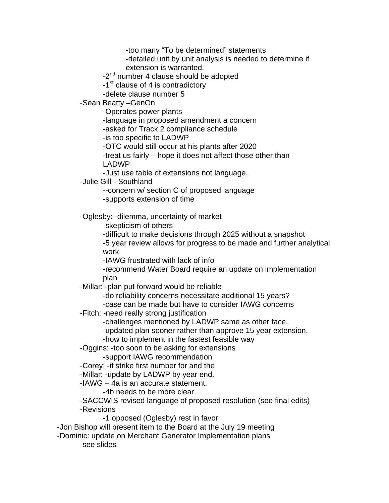-too many "To be determined" statements

-detailed unit by unit analysis is needed to determine if extension is warranted.

-2<sup>nd</sup> number 4 clause should be adopted

-1<sup>st</sup> clause of 4 is contradictory

-delete clause number 5

-Sean Beatty –GenOn

-Operates power plants

-language in proposed amendment a concern

-asked for Track 2 compliance schedule

-is too specific to LADWP

-OTC would still occur at his plants after 2020

 -treat us fairly – hope it does not affect those other than LADWP

-Just use table of extensions not language.

-Julie Gill - Southland

--concern w/ section C of proposed language

-supports extension of time

-Oglesby: -dilemma, uncertainty of market

-skepticism of others

 -difficult to make decisions through 2025 without a snapshot -5 year review allows for progress to be made and further analytical work

-IAWG frustrated with lack of info

-recommend Water Board require an update on implementation plan

-Millar: -plan put forward would be reliable

 -do reliability concerns necessitate additional 15 years? -case can be made but have to consider IAWG concerns

-Fitch: -need really strong justification

-challenges mentioned by LADWP same as other face.

-updated plan sooner rather than approve 15 year extension.

-how to implement in the fastest feasible way

-Oggins: -too soon to be asking for extensions

-support IAWG recommendation

-Corey: -if strike first number for and the

-Millar: -update by LADWP by year end.

-IAWG – 4a is an accurate statement.

-4b needs to be more clear.

 -SACCWIS revised language of proposed resolution (see final edits) -Revisions

-1 opposed (Oglesby) rest in favor

-Jon Bishop will present item to the Board at the July 19 meeting

-Dominic: update on Merchant Generator Implementation plans

-see slides